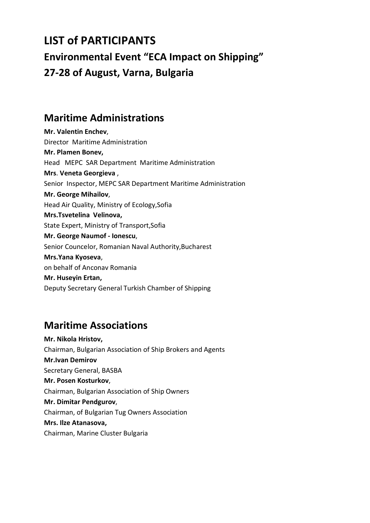# **LIST of PARTICIPANTS Environmental Event "ECA Impact on Shipping" 27-28 of August, Varna, Bulgaria**

#### **Maritime Administrations**

**Mr. Valentin Enchev**, Director Maritime Administration **Mr. Plamen Bonev,** Head MEPC SAR Department Maritime Administration **Mrs**. **Veneta Georgieva** , Senior Inspector, MEPC SAR Department Maritime Administration **Mr. George Mihailov**, Head Air Quality, Ministry of Ecology,Sofia **Mrs.Tsvetelina Velinova,** State Expert, Ministry of Transport,Sofia **Mr. George Naumof - Ionescu**, Senior Councelor, Romanian Naval Authority,Bucharest **Mrs.Yana Kyoseva**, on behalf of Anconav Romania **Mr. Huseyin Ertan,** Deputy Secretary General Turkish Chamber of Shipping

## **Maritime Associations**

**Mr. Nikola Hristov,** Chairman, Bulgarian Association of Ship Brokers and Agents **Mr.Ivan Demirov** Secretary General, BASBA **Mr. Posen Kosturkov**, Chairman, Bulgarian Association of Ship Owners **Mr. Dimitar Pendgurov**, Chairman, of Bulgarian Tug Owners Association **Mrs. Ilze Atanasova,** Chairman, Marine Cluster Bulgaria